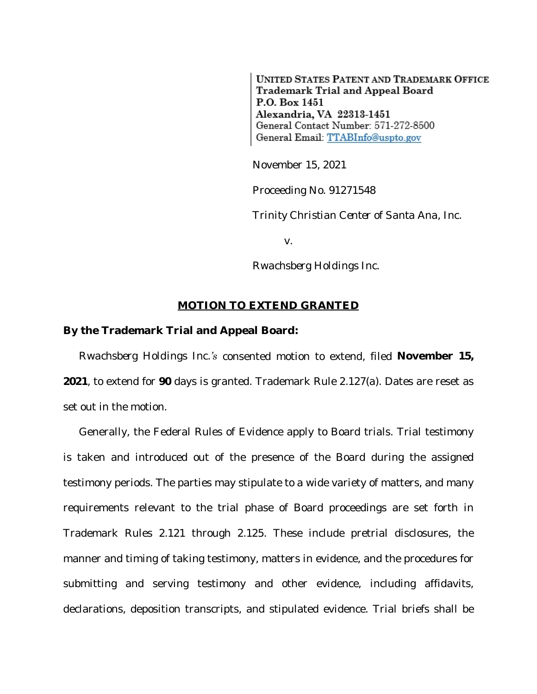**UNITED STATES PATENT AND TRADEMARK OFFICE** Trademark Trial and Appeal Board P.O. Box 1451 Alexandria, VA 22313-1451 General Contact Number: 571-272-8500 General Email: TTABInfo@uspto.gov

November 15, 2021

Proceeding No. 91271548

*Trinity Christian Center of Santa Ana, Inc.*

v.

*Rwachsberg Holdings Inc.*

## **MOTION TO EXTEND GRANTED**

## **By the Trademark Trial and Appeal Board:**

*Rwachsberg Holdings Inc.'s* consented motion to extend, filed **November 15, 2021**, to extend for **90** days is granted. Trademark Rule 2.127(a). Dates are reset as set out in the motion.

Generally, the Federal Rules of Evidence apply to Board trials. Trial testimony is taken and introduced out of the presence of the Board during the assigned testimony periods. The parties may stipulate to a wide variety of matters, and many requirements relevant to the trial phase of Board proceedings are set forth in Trademark Rules 2.121 through 2.125. These include pretrial disclosures, the manner and timing of taking testimony, matters in evidence, and the procedures for submitting and serving testimony and other evidence, including affidavits, declarations, deposition transcripts, and stipulated evidence. Trial briefs shall be